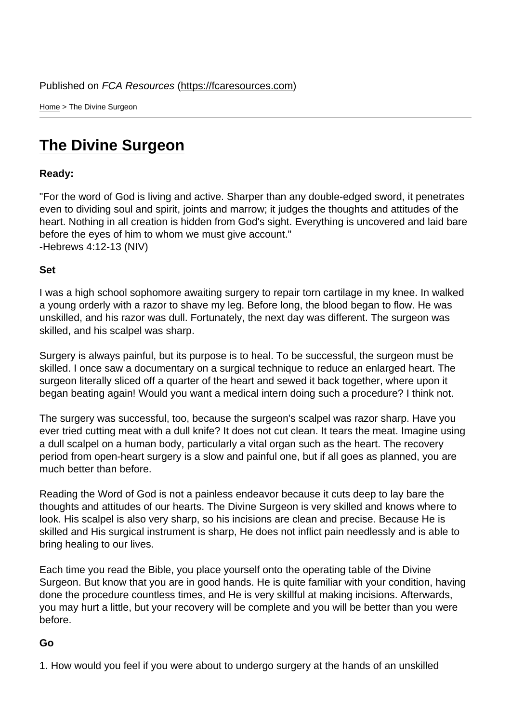Home > The Divine Surgeon

## [The](https://fcaresources.com/) Divine Surgeon

Ready:

["For the word of God is living an](https://fcaresources.com/devotional/divine-surgeon)d active. Sharper than any double-edged sword, it penetrates even to dividing soul and spirit, joints and marrow; it judges the thoughts and attitudes of the heart. Nothing in all creation is hidden from God's sight. Everything is uncovered and laid bare before the eyes of him to whom we must give account." -Hebrews 4:12-13 (NIV)

Set

I was a high school sophomore awaiting surgery to repair torn cartilage in my knee. In walked a young orderly with a razor to shave my leg. Before long, the blood began to flow. He was unskilled, and his razor was dull. Fortunately, the next day was different. The surgeon was skilled, and his scalpel was sharp.

Surgery is always painful, but its purpose is to heal. To be successful, the surgeon must be skilled. I once saw a documentary on a surgical technique to reduce an enlarged heart. The surgeon literally sliced off a quarter of the heart and sewed it back together, where upon it began beating again! Would you want a medical intern doing such a procedure? I think not.

The surgery was successful, too, because the surgeon's scalpel was razor sharp. Have you ever tried cutting meat with a dull knife? It does not cut clean. It tears the meat. Imagine using a dull scalpel on a human body, particularly a vital organ such as the heart. The recovery period from open-heart surgery is a slow and painful one, but if all goes as planned, you are much better than before.

Reading the Word of God is not a painless endeavor because it cuts deep to lay bare the thoughts and attitudes of our hearts. The Divine Surgeon is very skilled and knows where to look. His scalpel is also very sharp, so his incisions are clean and precise. Because He is skilled and His surgical instrument is sharp, He does not inflict pain needlessly and is able to bring healing to our lives.

Each time you read the Bible, you place yourself onto the operating table of the Divine Surgeon. But know that you are in good hands. He is quite familiar with your condition, having done the procedure countless times, and He is very skillful at making incisions. Afterwards, you may hurt a little, but your recovery will be complete and you will be better than you were before.

Go

1. How would you feel if you were about to undergo surgery at the hands of an unskilled